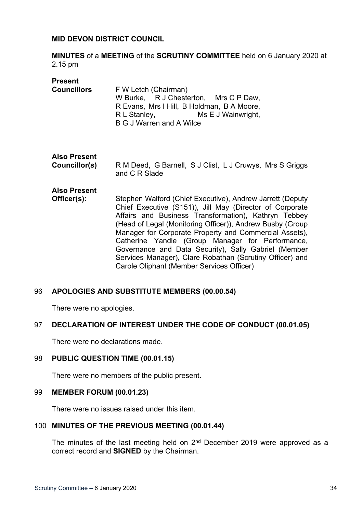### **MID DEVON DISTRICT COUNCIL**

**MINUTES** of a **MEETING** of the **SCRUTINY COMMITTEE** held on 6 January 2020 at 2.15 pm

| <b>Present</b><br><b>Councillors</b> | F W Letch (Chairman)<br>W Burke, R J Chesterton, Mrs C P Daw,<br>R Evans, Mrs I Hill, B Holdman, B A Moore,<br>R L Stanley, Ms E J Wainwright,<br><b>B G J Warren and A Wilce</b>                                                                                                                                                                                                                                |
|--------------------------------------|------------------------------------------------------------------------------------------------------------------------------------------------------------------------------------------------------------------------------------------------------------------------------------------------------------------------------------------------------------------------------------------------------------------|
| <b>Also Present</b><br>Councillor(s) | R M Deed, G Barnell, S J Clist, L J Cruwys, Mrs S Griggs<br>and C R Slade                                                                                                                                                                                                                                                                                                                                        |
| <b>Also Present</b><br>Officer(s):   | Stephen Walford (Chief Executive), Andrew Jarrett (Deputy<br>Chief Executive (S151)), Jill May (Director of Corporate<br>Affairs and Business Transformation), Kathryn Tebbey<br>(Head of Legal (Monitoring Officer)), Andrew Busby (Group<br>Manager for Corporate Property and Commercial Assets),<br>Catherine Yandle (Group Manager for Performance,<br>Governance and Data Security), Sally Gabriel (Member |

Services Manager), Clare Robathan (Scrutiny Officer) and

### 96 **APOLOGIES AND SUBSTITUTE MEMBERS (00.00.54)**

There were no apologies.

### 97 **DECLARATION OF INTEREST UNDER THE CODE OF CONDUCT (00.01.05)**

Carole Oliphant (Member Services Officer)

There were no declarations made.

### 98 **PUBLIC QUESTION TIME (00.01.15)**

There were no members of the public present.

#### 99 **MEMBER FORUM (00.01.23)**

There were no issues raised under this item.

### 100 **MINUTES OF THE PREVIOUS MEETING (00.01.44)**

The minutes of the last meeting held on 2<sup>nd</sup> December 2019 were approved as a correct record and **SIGNED** by the Chairman.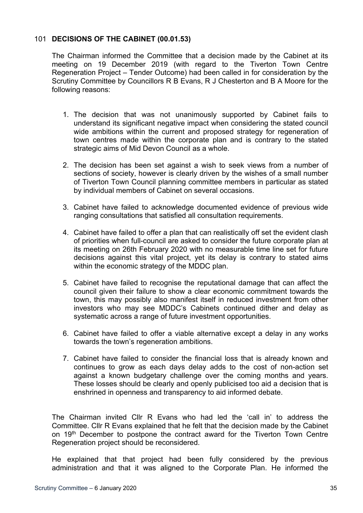### 101 **DECISIONS OF THE CABINET (00.01.53)**

The Chairman informed the Committee that a decision made by the Cabinet at its meeting on 19 December 2019 (with regard to the Tiverton Town Centre Regeneration Project – Tender Outcome) had been called in for consideration by the Scrutiny Committee by Councillors R B Evans, R J Chesterton and B A Moore for the following reasons:

- 1. The decision that was not unanimously supported by Cabinet fails to understand its significant negative impact when considering the stated council wide ambitions within the current and proposed strategy for regeneration of town centres made within the corporate plan and is contrary to the stated strategic aims of Mid Devon Council as a whole.
- 2. The decision has been set against a wish to seek views from a number of sections of society, however is clearly driven by the wishes of a small number of Tiverton Town Council planning committee members in particular as stated by individual members of Cabinet on several occasions.
- 3. Cabinet have failed to acknowledge documented evidence of previous wide ranging consultations that satisfied all consultation requirements.
- 4. Cabinet have failed to offer a plan that can realistically off set the evident clash of priorities when full-council are asked to consider the future corporate plan at its meeting on 26th February 2020 with no measurable time line set for future decisions against this vital project, yet its delay is contrary to stated aims within the economic strategy of the MDDC plan.
- 5. Cabinet have failed to recognise the reputational damage that can affect the council given their failure to show a clear economic commitment towards the town, this may possibly also manifest itself in reduced investment from other investors who may see MDDC's Cabinets continued dither and delay as systematic across a range of future investment opportunities.
- 6. Cabinet have failed to offer a viable alternative except a delay in any works towards the town's regeneration ambitions.
- 7. Cabinet have failed to consider the financial loss that is already known and continues to grow as each days delay adds to the cost of non-action set against a known budgetary challenge over the coming months and years. These losses should be clearly and openly publicised too aid a decision that is enshrined in openness and transparency to aid informed debate.

The Chairman invited Cllr R Evans who had led the 'call in' to address the Committee. Cllr R Evans explained that he felt that the decision made by the Cabinet on 19<sup>th</sup> December to postpone the contract award for the Tiverton Town Centre Regeneration project should be reconsidered.

He explained that that project had been fully considered by the previous administration and that it was aligned to the Corporate Plan. He informed the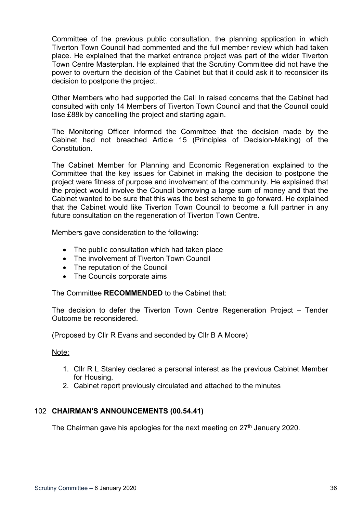Committee of the previous public consultation, the planning application in which Tiverton Town Council had commented and the full member review which had taken place. He explained that the market entrance project was part of the wider Tiverton Town Centre Masterplan. He explained that the Scrutiny Committee did not have the power to overturn the decision of the Cabinet but that it could ask it to reconsider its decision to postpone the project.

Other Members who had supported the Call In raised concerns that the Cabinet had consulted with only 14 Members of Tiverton Town Council and that the Council could lose £88k by cancelling the project and starting again.

The Monitoring Officer informed the Committee that the decision made by the Cabinet had not breached Article 15 (Principles of Decision-Making) of the Constitution.

The Cabinet Member for Planning and Economic Regeneration explained to the Committee that the key issues for Cabinet in making the decision to postpone the project were fitness of purpose and involvement of the community. He explained that the project would involve the Council borrowing a large sum of money and that the Cabinet wanted to be sure that this was the best scheme to go forward. He explained that the Cabinet would like Tiverton Town Council to become a full partner in any future consultation on the regeneration of Tiverton Town Centre.

Members gave consideration to the following:

- The public consultation which had taken place
- The involvement of Tiverton Town Council
- The reputation of the Council
- The Councils corporate aims

The Committee **RECOMMENDED** to the Cabinet that:

The decision to defer the Tiverton Town Centre Regeneration Project – Tender Outcome be reconsidered.

(Proposed by Cllr R Evans and seconded by Cllr B A Moore)

### Note:

- 1. Cllr R L Stanley declared a personal interest as the previous Cabinet Member for Housing.
- 2. Cabinet report previously circulated and attached to the minutes

## 102 **CHAIRMAN'S ANNOUNCEMENTS (00.54.41)**

The Chairman gave his apologies for the next meeting on 27<sup>th</sup> January 2020.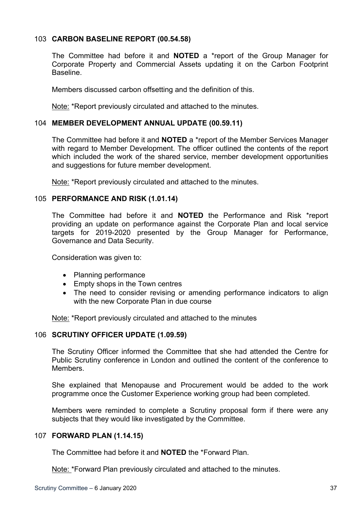### 103 **CARBON BASELINE REPORT (00.54.58)**

The Committee had before it and **NOTED** a \*report of the Group Manager for Corporate Property and Commercial Assets updating it on the Carbon Footprint Baseline.

Members discussed carbon offsetting and the definition of this.

Note: \*Report previously circulated and attached to the minutes.

### 104 **MEMBER DEVELOPMENT ANNUAL UPDATE (00.59.11)**

The Committee had before it and **NOTED** a \*report of the Member Services Manager with regard to Member Development. The officer outlined the contents of the report which included the work of the shared service, member development opportunities and suggestions for future member development.

Note: \*Report previously circulated and attached to the minutes.

### 105 **PERFORMANCE AND RISK (1.01.14)**

The Committee had before it and **NOTED** the Performance and Risk \*report providing an update on performance against the Corporate Plan and local service targets for 2019-2020 presented by the Group Manager for Performance, Governance and Data Security.

Consideration was given to:

- Planning performance
- Empty shops in the Town centres
- The need to consider revising or amending performance indicators to align with the new Corporate Plan in due course

Note: \*Report previously circulated and attached to the minutes

### 106 **SCRUTINY OFFICER UPDATE (1.09.59)**

The Scrutiny Officer informed the Committee that she had attended the Centre for Public Scrutiny conference in London and outlined the content of the conference to Members.

She explained that Menopause and Procurement would be added to the work programme once the Customer Experience working group had been completed.

Members were reminded to complete a Scrutiny proposal form if there were any subjects that they would like investigated by the Committee.

### 107 **FORWARD PLAN (1.14.15)**

The Committee had before it and **NOTED** the \*Forward Plan.

Note: \*Forward Plan previously circulated and attached to the minutes.